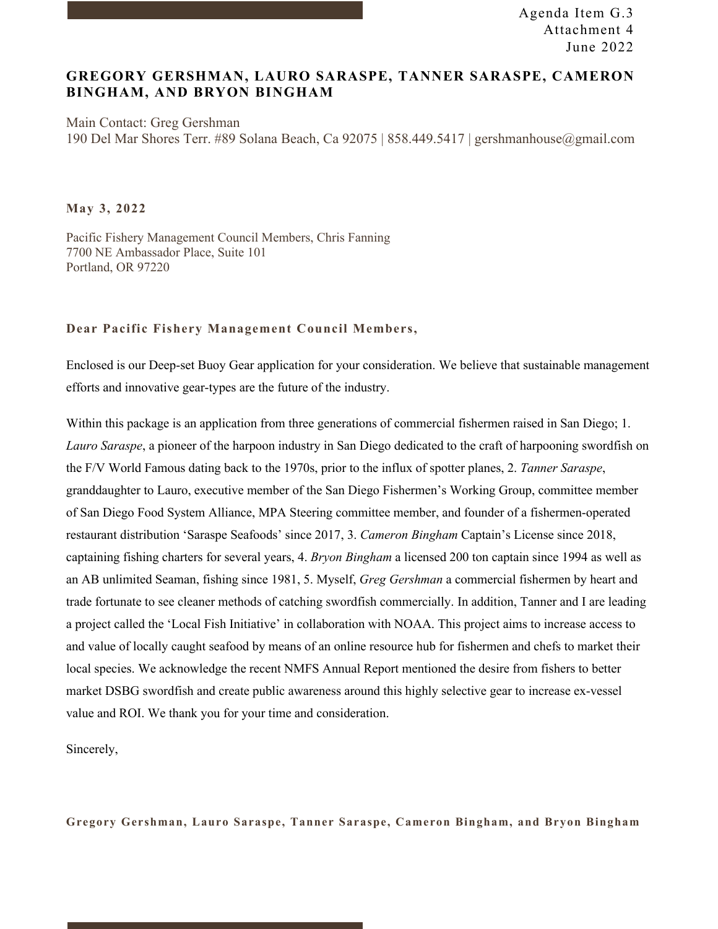### **GREGORY GERSHMAN, LAURO SARASPE, TANNER SARASPE, CAMERON BINGHAM, AND BRYON BINGHAM**

Main Contact: Greg Gershman 190 Del Mar Shores Terr. #89 Solana Beach, Ca 92075 | 858.449.5417 | gershmanhouse@gmail.com

**May 3, 2022**

Pacific Fishery Management Council Members, Chris Fanning 7700 NE Ambassador Place, Suite 101 Portland, OR 97220

#### **Dear Pacific Fishery Management Council Members,**

Enclosed is our Deep-set Buoy Gear application for your consideration. We believe that sustainable management efforts and innovative gear-types are the future of the industry.

Within this package is an application from three generations of commercial fishermen raised in San Diego; 1. *Lauro Saraspe*, a pioneer of the harpoon industry in San Diego dedicated to the craft of harpooning swordfish on the F/V World Famous dating back to the 1970s, prior to the influx of spotter planes, 2. *Tanner Saraspe*, granddaughter to Lauro, executive member of the San Diego Fishermen's Working Group, committee member of San Diego Food System Alliance, MPA Steering committee member, and founder of a fishermen-operated restaurant distribution 'Saraspe Seafoods' since 2017, 3. *Cameron Bingham* Captain's License since 2018, captaining fishing charters for several years, 4. *Bryon Bingham* a licensed 200 ton captain since 1994 as well as an AB unlimited Seaman, fishing since 1981, 5. Myself, *Greg Gershman* a commercial fishermen by heart and trade fortunate to see cleaner methods of catching swordfish commercially. In addition, Tanner and I are leading a project called the 'Local Fish Initiative' in collaboration with NOAA. This project aims to increase access to and value of locally caught seafood by means of an online resource hub for fishermen and chefs to market their local species. We acknowledge the recent NMFS Annual Report mentioned the desire from fishers to better market DSBG swordfish and create public awareness around this highly selective gear to increase ex-vessel value and ROI. We thank you for your time and consideration.

Sincerely,

**Gregory Gershman, Lauro Saraspe, Tanner Saraspe, Cameron Bingham, and Bryon Bingham**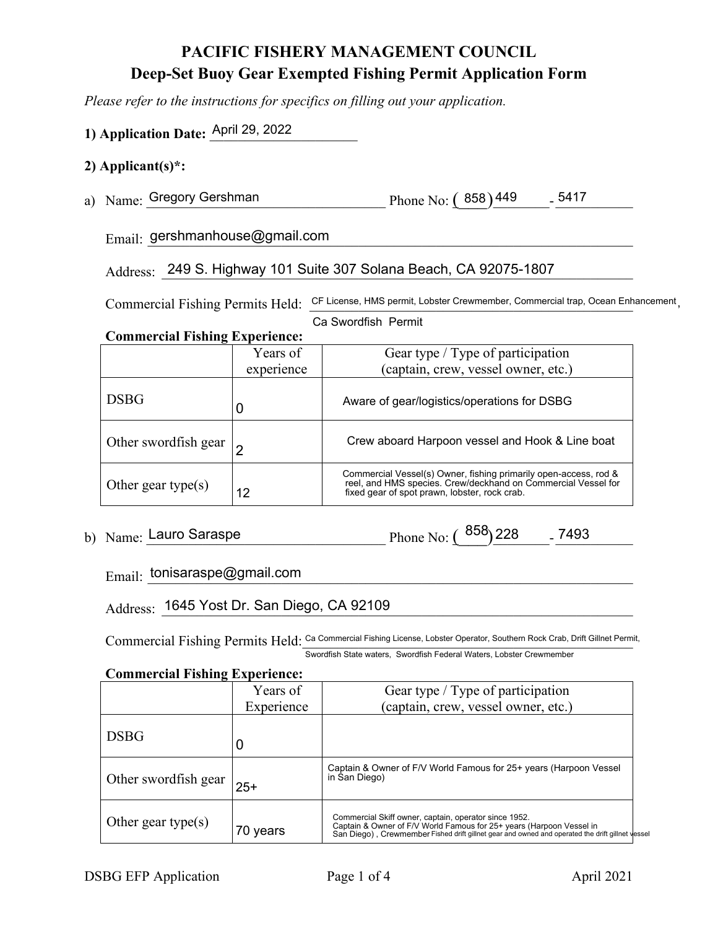# **PACIFIC FISHERY MANAGEMENT COUNCIL Deep-Set Buoy Gear Exempted Fishing Permit Application Form**

*Please refer to the instructions for specifics on filling out your application.*

## **1) Application Date:** April 29, 2022

**Commercial Fishing Experience:**

### **2) Applicant(s)\*:**

a) Name: Gregory Gershman Phone No:  $(858)$ <sup>449</sup> - <sup>5417</sup>

 $\text{E}_{\text{mail}:}$  gershmanhouse@gmail.com

Address: 249 S. Highway 101 Suite 307 Solana Beach, CA 92075-1807

Commercial Fishing Permits Held: CF License, HMS permit, Lobster Crewmember, Commercial trap, Ocean Enhancement,

Ca Swordfish Permit

| COMMETCIAL FISHING EXPETIENCE: |          |  |
|--------------------------------|----------|--|
|                                | Years of |  |

|                      | Years of   | Gear type / Type of participation                                                                                                                                                  |
|----------------------|------------|------------------------------------------------------------------------------------------------------------------------------------------------------------------------------------|
|                      | experience | (captain, crew, vessel owner, etc.)                                                                                                                                                |
| <b>DSBG</b>          |            | Aware of gear/logistics/operations for DSBG                                                                                                                                        |
| Other swordfish gear |            | Crew aboard Harpoon vessel and Hook & Line boat                                                                                                                                    |
| Other gear type(s)   | 12         | Commercial Vessel(s) Owner, fishing primarily open-access, rod &<br>reel, and HMS species. Crew/deckhand on Commercial Vessel for<br>fixed gear of spot prawn, lobster, rock crab. |

b) Name: \_\_\_\_\_\_\_\_\_\_\_\_\_\_\_\_\_\_\_\_\_\_\_\_\_\_\_\_\_\_\_\_\_\_ Phone No: (\_\_\_)\_\_\_\_\_\_\_\_- \_\_\_\_\_\_\_\_\_\_\_ Lauro Saraspe 858 228 7493

 $E_{\text{mail:}}$   $\frac{\text{tonisarase} @ \text{gmail.com}}{\text{cmation:}}$ 

Address: \_1645 Yost Dr. San Diego, CA 92109 and the control of the control of the control of the control of the control of the control of the control of the control of the control of the control of the control of the contr

Commercial Fishing Permits Held: Ca Commercial Fishing License, Lobster Operator, Southern Rock Crab, Drift Gillnet Permit, Swordfish State waters, Swordfish Federal Waters, Lobster Crewmember

#### **Commercial Fishing Experience:**

| -                    |            |                                                                                                                                                                                                                                   |
|----------------------|------------|-----------------------------------------------------------------------------------------------------------------------------------------------------------------------------------------------------------------------------------|
|                      | Years of   | Gear type / Type of participation                                                                                                                                                                                                 |
|                      | Experience | (captain, crew, vessel owner, etc.)                                                                                                                                                                                               |
| <b>DSBG</b>          | 0          |                                                                                                                                                                                                                                   |
| Other swordfish gear | $25+$      | Captain & Owner of F/V World Famous for 25+ years (Harpoon Vessel<br>in San Diego)                                                                                                                                                |
| Other gear type(s)   | 70 years   | Commercial Skiff owner, captain, operator since 1952.<br>Captain & Owner of F/V World Famous for 25+ years (Harpoon Vessel in<br>San Diego), Crewmember Fished drift gillnet gear and owned and operated the drift gillnet vessel |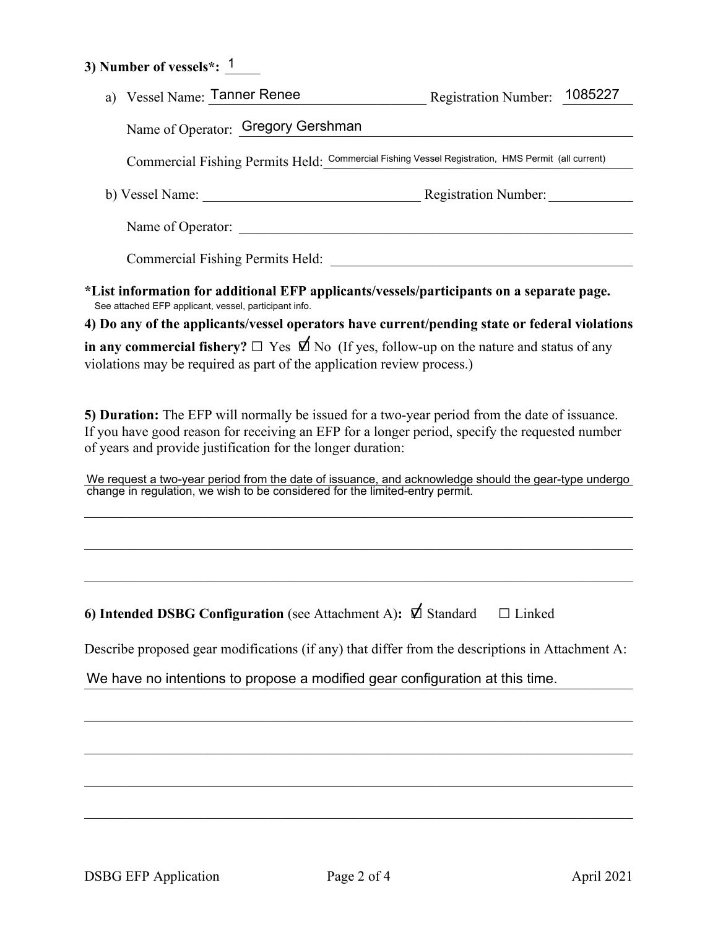### **3) Number of vessels\*:** <u>1</u>

| a) Vessel Name: Tanner Renee                                                                                                                                                                                                                                   | <b>Registration Number:</b> | 1085227 |  |  |  |
|----------------------------------------------------------------------------------------------------------------------------------------------------------------------------------------------------------------------------------------------------------------|-----------------------------|---------|--|--|--|
| Name of Operator: Gregory Gershman                                                                                                                                                                                                                             |                             |         |  |  |  |
| Commercial Fishing Permits Held: Commercial Fishing Vessel Registration, HMS Permit (all current)                                                                                                                                                              |                             |         |  |  |  |
|                                                                                                                                                                                                                                                                |                             |         |  |  |  |
|                                                                                                                                                                                                                                                                |                             |         |  |  |  |
| Commercial Fishing Permits Held: New York 1997 and School and Theorem 2008                                                                                                                                                                                     |                             |         |  |  |  |
| *List information for additional EFP applicants/vessels/participants on a separate page.<br>See attached EFP applicant, vessel, participant info.                                                                                                              |                             |         |  |  |  |
| 4) Do any of the applicants/vessel operators have current/pending state or federal violations                                                                                                                                                                  |                             |         |  |  |  |
| in any commercial fishery? $\Box$ Yes $\Box$ No (If yes, follow-up on the nature and status of any<br>violations may be required as part of the application review process.)                                                                                   |                             |         |  |  |  |
| 5) Duration: The EFP will normally be issued for a two-year period from the date of issuance.<br>If you have good reason for receiving an EFP for a longer period, specify the requested number<br>of years and provide justification for the longer duration: |                             |         |  |  |  |
| We request a two-year period from the date of issuance, and acknowledge should the gear-type undergo change in regulation, we wish to be considered for the limited-entry permit.                                                                              |                             |         |  |  |  |
|                                                                                                                                                                                                                                                                |                             |         |  |  |  |
|                                                                                                                                                                                                                                                                |                             |         |  |  |  |
| 6) Intended DSBG Configuration (see Attachment A): $\Box$ Standard                                                                                                                                                                                             | $\Box$ Linked               |         |  |  |  |
| Describe proposed gear modifications (if any) that differ from the descriptions in Attachment A:                                                                                                                                                               |                             |         |  |  |  |
| We have no intentions to propose a modified gear configuration at this time.                                                                                                                                                                                   |                             |         |  |  |  |
|                                                                                                                                                                                                                                                                |                             |         |  |  |  |
|                                                                                                                                                                                                                                                                |                             |         |  |  |  |
|                                                                                                                                                                                                                                                                |                             |         |  |  |  |
|                                                                                                                                                                                                                                                                |                             |         |  |  |  |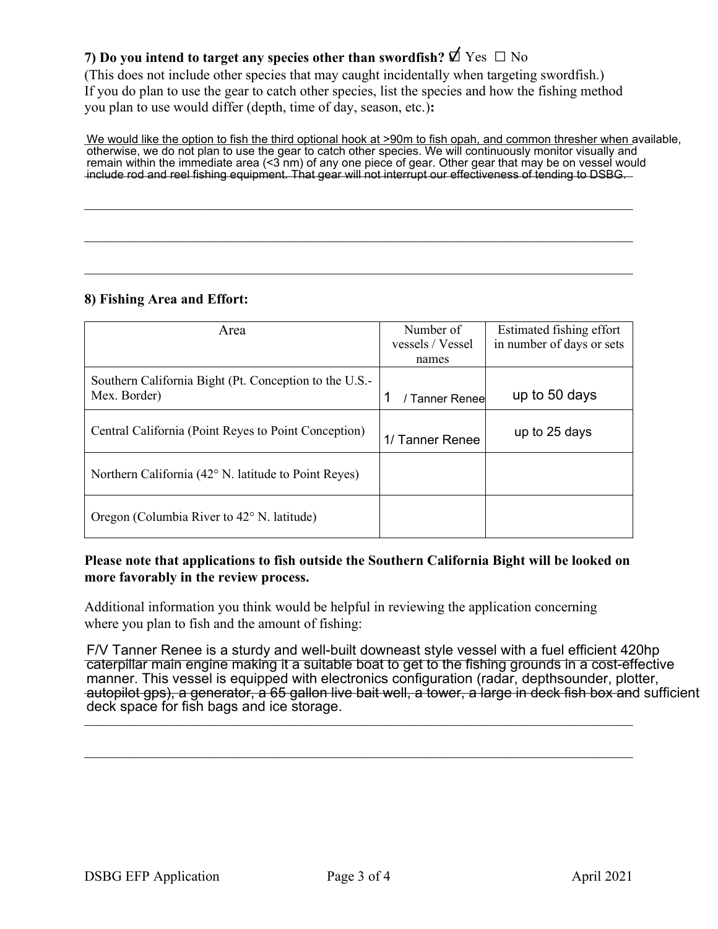### **7)** Do you intend to target any species other than swordfish?  $\Phi$  Yes □ No

(This does not include other species that may caught incidentally when targeting swordfish.) If you do plan to use the gear to catch other species, list the species and how the fishing method you plan to use would differ (depth, time of day, season, etc.)**:**

\_\_\_\_\_\_\_\_\_\_\_\_\_\_\_\_\_\_\_\_\_\_\_\_\_\_\_\_\_\_\_\_\_\_\_\_\_\_\_\_\_\_\_\_\_\_\_\_\_\_\_\_\_\_\_\_\_\_\_\_\_\_\_\_\_\_\_\_\_\_\_\_\_\_\_\_\_\_

\_\_\_\_\_\_\_\_\_\_\_\_\_\_\_\_\_\_\_\_\_\_\_\_\_\_\_\_\_\_\_\_\_\_\_\_\_\_\_\_\_\_\_\_\_\_\_\_\_\_\_\_\_\_\_\_\_\_\_\_\_\_\_\_\_\_\_\_\_\_\_\_\_\_\_\_\_\_

We would like the option to fish the third optional hook at >90m to fish opah, and common thresher when available, remain within the immediate area (<3 nm) of any one piece of gear. Other gear that may be on vessel would<br>include rod and reel fishing equipment. That gear will not interrupt our effectiveness of tending to DSBG otherwise, we do not plan to use the gear to catch other species. We will continuously monitor visually and include rod and reel fishing equipment. That gear will not interrupt our effectiveness of tending to DSBG.

### **8) Fishing Area and Effort:**

| Area                                                   | Number of        | Estimated fishing effort  |
|--------------------------------------------------------|------------------|---------------------------|
|                                                        | vessels / Vessel | in number of days or sets |
|                                                        | names            |                           |
| Southern California Bight (Pt. Conception to the U.S.- |                  |                           |
| Mex. Border)                                           | / Tanner Renee   | up to 50 days             |
|                                                        |                  |                           |
| Central California (Point Reyes to Point Conception)   | 1/ Tanner Renee  | up to 25 days             |
| Northern California (42° N. latitude to Point Reyes)   |                  |                           |
|                                                        |                  |                           |
| Oregon (Columbia River to 42° N. latitude)             |                  |                           |

### **Please note that applications to fish outside the Southern California Bight will be looked on more favorably in the review process.**

Additional information you think would be helpful in reviewing the application concerning where you plan to fish and the amount of fishing:

F/V Tanner Renee is a sturdy and well-built downeast style vessel with a fuel efficient 420hp manner. This vesser is equipped with electronics comiguration (radar, depthsodinger, plotter,<br>autopilot gps), a generator, a 65 gallon live bait well, a tower, a large in deck fish box and sufficient  $\mathcal{L}_{\mathbf{y}}$ caterpillar main engine making it a suitable boat to get to the fishing grounds in a cost-effective manner. This vessel is equipped with electronics configuration (radar, depthsounder, plotter, deck space for fish bags and ice storage.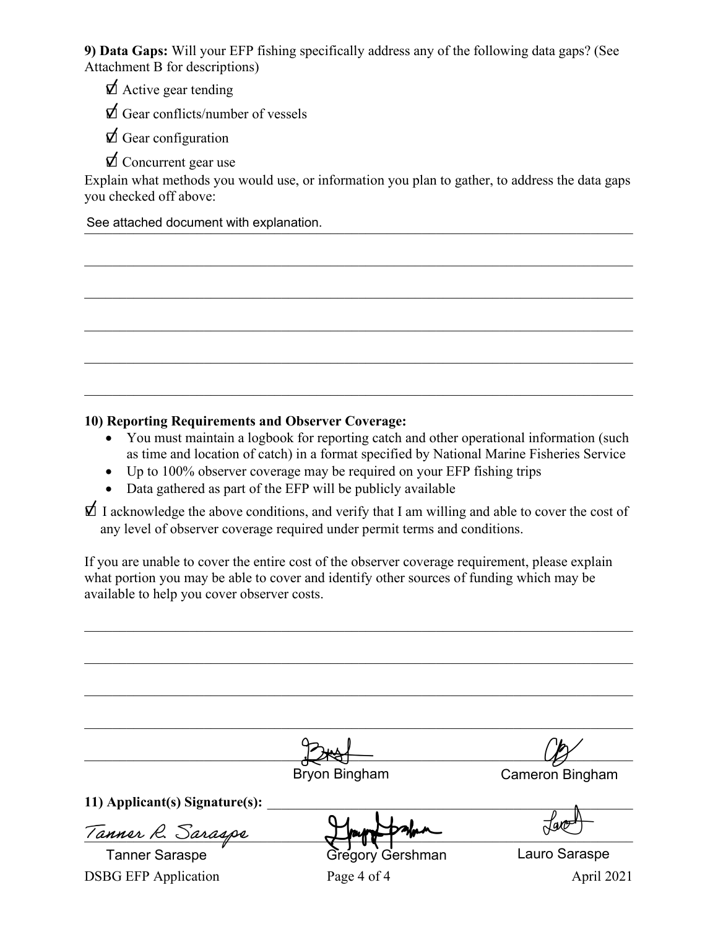**9) Data Gaps:** Will your EFP fishing specifically address any of the following data gaps? (See Attachment B for descriptions)

 $\Delta$  Active gear tending

 $\Delta$  Gear conflicts/number of vessels

 $\bigtriangledown$  Gear configuration

 $\bigtriangledown$  Concurrent gear use

Explain what methods you would use, or information you plan to gather, to address the data gaps you checked off above:

\_\_\_\_\_\_\_\_\_\_\_\_\_\_\_\_\_\_\_\_\_\_\_\_\_\_\_\_\_\_\_\_\_\_\_\_\_\_\_\_\_\_\_\_\_\_\_\_\_\_\_\_\_\_\_\_\_\_\_\_\_\_\_\_\_\_\_\_\_\_\_\_\_\_\_\_\_\_

 $\mathcal{L}_\mathcal{L} = \mathcal{L}_\mathcal{L} = \mathcal{L}_\mathcal{L} = \mathcal{L}_\mathcal{L} = \mathcal{L}_\mathcal{L} = \mathcal{L}_\mathcal{L} = \mathcal{L}_\mathcal{L} = \mathcal{L}_\mathcal{L} = \mathcal{L}_\mathcal{L} = \mathcal{L}_\mathcal{L} = \mathcal{L}_\mathcal{L} = \mathcal{L}_\mathcal{L} = \mathcal{L}_\mathcal{L} = \mathcal{L}_\mathcal{L} = \mathcal{L}_\mathcal{L} = \mathcal{L}_\mathcal{L} = \mathcal{L}_\mathcal{L}$ 

\_\_\_\_\_\_\_\_\_\_\_\_\_\_\_\_\_\_\_\_\_\_\_\_\_\_\_\_\_\_\_\_\_\_\_\_\_\_\_\_\_\_\_\_\_\_\_\_\_\_\_\_\_\_\_\_\_\_\_\_\_\_\_\_\_\_\_\_\_\_\_\_\_\_\_\_\_\_

\_\_\_\_\_\_\_\_\_\_\_\_\_\_\_\_\_\_\_\_\_\_\_\_\_\_\_\_\_\_\_\_\_\_\_\_\_\_\_\_\_\_\_\_\_\_\_\_\_\_\_\_\_\_\_\_\_\_\_\_\_\_\_\_\_\_\_\_\_\_\_\_\_\_\_\_\_\_

See attached document with explanation.

### **10) Reporting Requirements and Observer Coverage:**

- You must maintain a logbook for reporting catch and other operational information (such as time and location of catch) in a format specified by National Marine Fisheries Service
- Up to 100% observer coverage may be required on your EFP fishing trips
- Data gathered as part of the EFP will be publicly available

 $\Delta$  I acknowledge the above conditions, and verify that I am willing and able to cover the cost of any level of observer coverage required under permit terms and conditions.

If you are unable to cover the entire cost of the observer coverage requirement, please explain what portion you may be able to cover and identify other sources of funding which may be available to help you cover observer costs.

|                                | <b>Bryon Bingham</b> | Cameron Bingham |
|--------------------------------|----------------------|-----------------|
|                                |                      |                 |
| 11) Applicant(s) Signature(s): |                      |                 |
|                                |                      |                 |
| Tanner R. Saraspe              |                      |                 |
| <b>Tanner Saraspe</b>          | Gregory Gershman     | Lauro Saraspe   |
| <b>DSBG EFP Application</b>    | Page 4 of 4          | April 2021      |
|                                |                      |                 |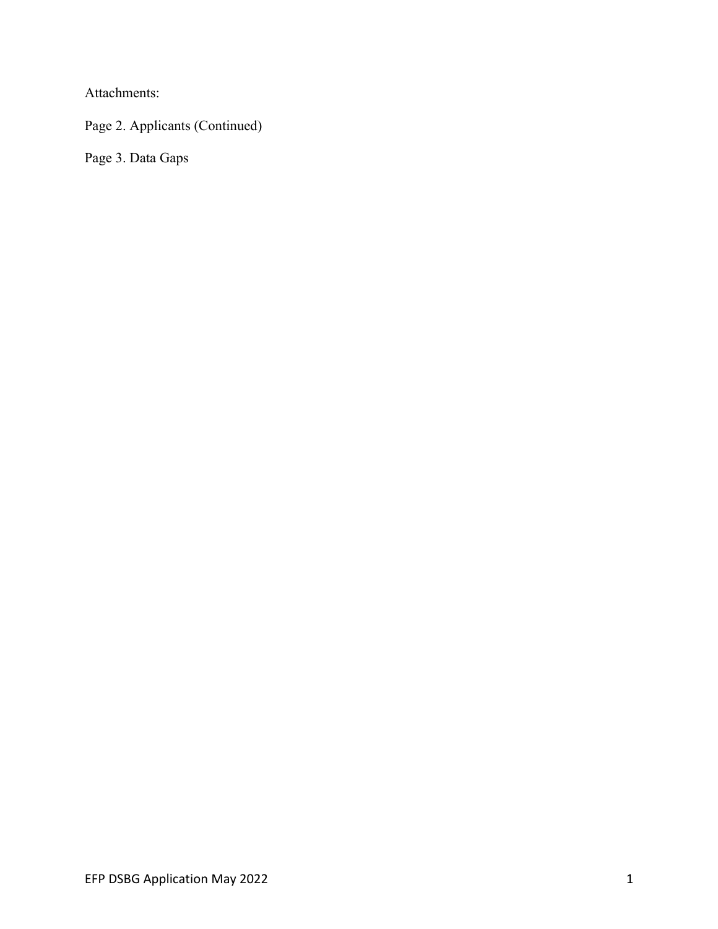Attachments:

Page 2. Applicants (Continued)

Page 3. Data Gaps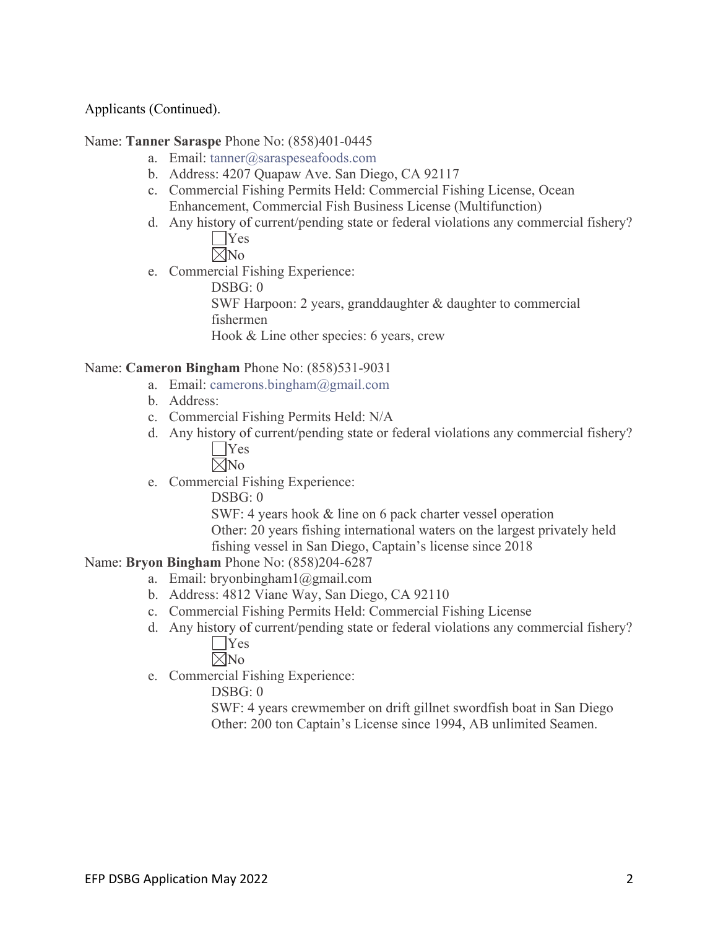### Applicants (Continued).

### Name: **Tanner Saraspe** Phone No: (858)401-0445

- a. Email: tanner@saraspeseafoods.com
- b. Address: 4207 Quapaw Ave. San Diego, CA 92117
- c. Commercial Fishing Permits Held: Commercial Fishing License, Ocean Enhancement, Commercial Fish Business License (Multifunction)
- d. Any history of current/pending state or federal violations any commercial fishery? **T**Yes

 $\nabla$ No

e. Commercial Fishing Experience:

DSBG: 0 SWF Harpoon: 2 years, granddaughter & daughter to commercial fishermen Hook & Line other species: 6 years, crew

### Name: **Cameron Bingham** Phone No: (858)531-9031

- a. Email: camerons.bingham@gmail.com
- b. Address:
- c. Commercial Fishing Permits Held: N/A
- d. Any history of current/pending state or federal violations any commercial fishery? Yes

 $\nabla$ No

e. Commercial Fishing Experience:

DSBG: 0

SWF: 4 years hook & line on 6 pack charter vessel operation Other: 20 years fishing international waters on the largest privately held fishing vessel in San Diego, Captain's license since 2018

### Name: **Bryon Bingham** Phone No: (858)204-6287

- a. Email: bryonbingham1@gmail.com
- b. Address: 4812 Viane Way, San Diego, CA 92110
- c. Commercial Fishing Permits Held: Commercial Fishing License
- d. Any history of current/pending state or federal violations any commercial fishery? Yes

 $\nabla$ No

e. Commercial Fishing Experience:

DSBG: 0

SWF: 4 years crewmember on drift gillnet swordfish boat in San Diego Other: 200 ton Captain's License since 1994, AB unlimited Seamen.